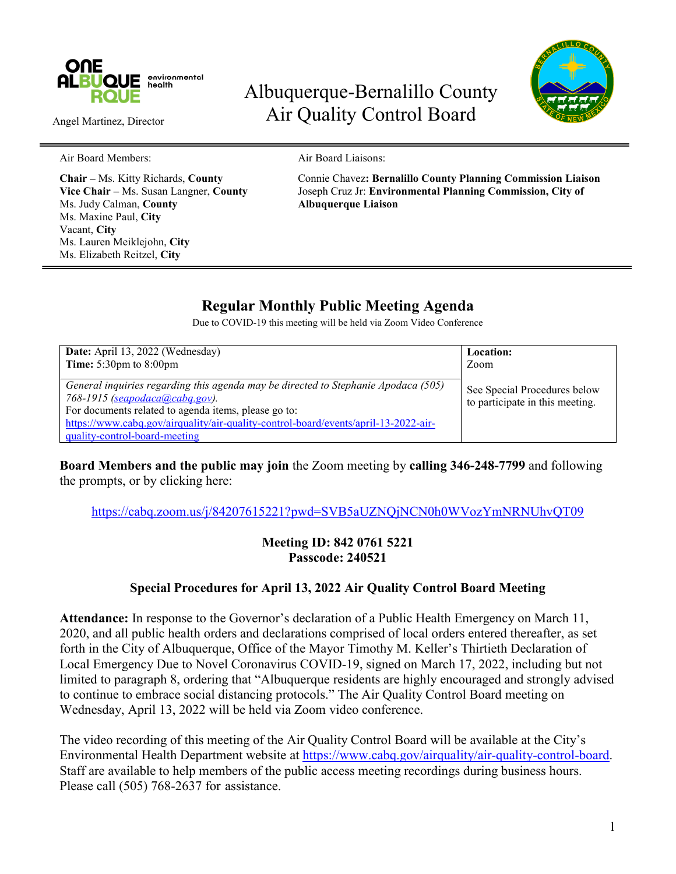

Angel Martinez, Director

# Albuquerque-Bernalillo County Air Quality Control Board



Air Board Members: Air Board Liaisons:

Ms. Judy Calman, **County Albuquerque Liaison** Ms. Maxine Paul, **City** Vacant, **City** Ms. Lauren Meiklejohn, **City** Ms. Elizabeth Reitzel, **City**

**Chair –** Ms. Kitty Richards, **County** Connie Chavez**: Bernalillo County Planning Commission Liaison Vice Chair –** Ms. Susan Langner, **County** Joseph Cruz Jr: **Environmental Planning Commission, City of**

# **Regular Monthly Public Meeting Agenda**

Due to COVID-19 this meeting will be held via Zoom Video Conference

| Date: April 13, 2022 (Wednesday)                                                                                                                                                                                                                                                                     | <b>Location:</b>                                                |
|------------------------------------------------------------------------------------------------------------------------------------------------------------------------------------------------------------------------------------------------------------------------------------------------------|-----------------------------------------------------------------|
| Time: $5:30 \text{pm}$ to $8:00 \text{pm}$                                                                                                                                                                                                                                                           | Zoom                                                            |
| General inquiries regarding this agenda may be directed to Stephanie Apodaca (505)<br>768-1915 (seapodaca@cabq.gov).<br>For documents related to agenda items, please go to:<br>https://www.cabq.gov/airquality/air-quality-control-board/events/april-13-2022-air-<br>quality-control-board-meeting | See Special Procedures below<br>to participate in this meeting. |

**Board Members and the public may join** the Zoom meeting by **calling 346-248-7799** and following the prompts, or by clicking here:

<https://cabq.zoom.us/j/84207615221?pwd=SVB5aUZNQjNCN0h0WVozYmNRNUhvQT09>

#### **Meeting ID: 842 0761 5221 Passcode: 240521**

### **Special Procedures for April 13, 2022 Air Quality Control Board Meeting**

**Attendance:** In response to the Governor's declaration of a Public Health Emergency on March 11, 2020, and all public health orders and declarations comprised of local orders entered thereafter, as set forth in the City of Albuquerque, Office of the Mayor Timothy M. Keller's Thirtieth Declaration of Local Emergency Due to Novel Coronavirus COVID-19, signed on March 17, 2022, including but not limited to paragraph 8, ordering that "Albuquerque residents are highly encouraged and strongly advised to continue to embrace social distancing protocols." The Air Quality Control Board meeting on Wednesday, April 13, 2022 will be held via Zoom video conference.

The video recording of this meeting of the Air Quality Control Board will be available at the City's Environmental Health Department website at [https://www.cabq.gov/airquality/air-quality-control-board.](https://www.cabq.gov/airquality/air-quality-control-board) Staff are available to help members of the public access meeting recordings during business hours. Please call (505) 768-2637 for assistance.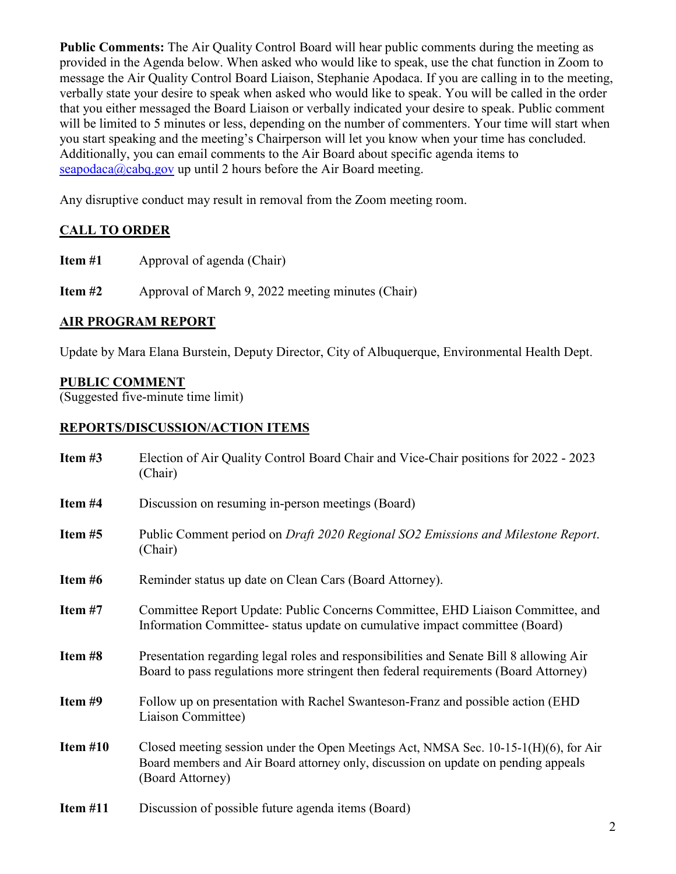**Public Comments:** The Air Quality Control Board will hear public comments during the meeting as provided in the Agenda below. When asked who would like to speak, use the chat function in Zoom to message the Air Quality Control Board Liaison, Stephanie Apodaca. If you are calling in to the meeting, verbally state your desire to speak when asked who would like to speak. You will be called in the order that you either messaged the Board Liaison or verbally indicated your desire to speak. Public comment will be limited to 5 minutes or less, depending on the number of commenters. Your time will start when you start speaking and the meeting's Chairperson will let you know when your time has concluded. Additionally, you can email comments to the Air Board about specific agenda items to [seapodaca@cabq.gov](mailto:seapodaca@cabq.gov) up until 2 hours before the Air Board meeting.

Any disruptive conduct may result in removal from the Zoom meeting room.

## **CALL TO ORDER**

**Item #1** Approval of agenda (Chair)

**Item #2** Approval of March 9, 2022 meeting minutes (Chair)

#### **AIR PROGRAM REPORT**

Update by Mara Elana Burstein, Deputy Director, City of Albuquerque, Environmental Health Dept.

#### **PUBLIC COMMENT**

(Suggested five-minute time limit)

#### **REPORTS/DISCUSSION/ACTION ITEMS**

| Item #3    | Election of Air Quality Control Board Chair and Vice-Chair positions for 2022 - 2023<br>(Chair)                                                                                                   |
|------------|---------------------------------------------------------------------------------------------------------------------------------------------------------------------------------------------------|
| Item #4    | Discussion on resuming in-person meetings (Board)                                                                                                                                                 |
| Item #5    | Public Comment period on Draft 2020 Regional SO2 Emissions and Milestone Report.<br>(Chair)                                                                                                       |
| Item #6    | Reminder status up date on Clean Cars (Board Attorney).                                                                                                                                           |
| Item #7    | Committee Report Update: Public Concerns Committee, EHD Liaison Committee, and<br>Information Committee-status update on cumulative impact committee (Board)                                      |
| Item #8    | Presentation regarding legal roles and responsibilities and Senate Bill 8 allowing Air<br>Board to pass regulations more stringent then federal requirements (Board Attorney)                     |
| Item #9    | Follow up on presentation with Rachel Swanteson-Franz and possible action (EHD)<br>Liaison Committee)                                                                                             |
| Item $#10$ | Closed meeting session under the Open Meetings Act, NMSA Sec. $10-15-1(H)(6)$ , for Air<br>Board members and Air Board attorney only, discussion on update on pending appeals<br>(Board Attorney) |
| Item $#11$ | Discussion of possible future agenda items (Board)                                                                                                                                                |